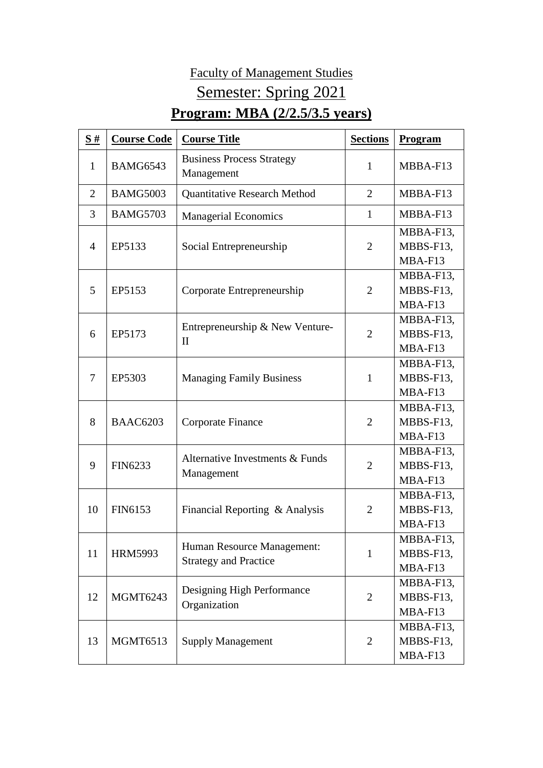## Faculty of Management Studies Semester: Spring 2021

## **Program: MBA (2/2.5/3.5 years)**

| S#             | <b>Course Code</b> | <b>Course Title</b>                                        | <b>Sections</b> | Program                           |
|----------------|--------------------|------------------------------------------------------------|-----------------|-----------------------------------|
| $\mathbf{1}$   | <b>BAMG6543</b>    | <b>Business Process Strategy</b><br>Management             | 1               | MBBA-F13                          |
| $\overline{2}$ | <b>BAMG5003</b>    | <b>Quantitative Research Method</b>                        | $\overline{2}$  | MBBA-F13                          |
| 3              | <b>BAMG5703</b>    | <b>Managerial Economics</b>                                | 1               | MBBA-F13                          |
| 4              | EP5133             | Social Entrepreneurship                                    | $\overline{2}$  | MBBA-F13,<br>MBBS-F13,<br>MBA-F13 |
| 5              | EP5153             | Corporate Entrepreneurship                                 | $\overline{2}$  | MBBA-F13,<br>MBBS-F13,<br>MBA-F13 |
| 6              | EP5173             | Entrepreneurship & New Venture-<br>$\mathbf{I}$            | $\overline{2}$  | MBBA-F13,<br>MBBS-F13,<br>MBA-F13 |
| 7              | EP5303             | <b>Managing Family Business</b>                            | 1               | MBBA-F13,<br>MBBS-F13,<br>MBA-F13 |
| 8              | <b>BAAC6203</b>    | Corporate Finance                                          | $\overline{2}$  | MBBA-F13,<br>MBBS-F13,<br>MBA-F13 |
| 9              | FIN6233            | Alternative Investments & Funds<br>Management              | $\overline{2}$  | MBBA-F13,<br>MBBS-F13,<br>MBA-F13 |
| 10             | FIN6153            | Financial Reporting & Analysis                             | $\overline{2}$  | MBBA-F13,<br>MBBS-F13,<br>MBA-F13 |
| 11             | <b>HRM5993</b>     | Human Resource Management:<br><b>Strategy and Practice</b> | $\mathbf{1}$    | MBBA-F13,<br>MBBS-F13,<br>MBA-F13 |
| 12             | <b>MGMT6243</b>    | Designing High Performance<br>Organization                 | $\overline{2}$  | MBBA-F13,<br>MBBS-F13,<br>MBA-F13 |
| 13             | <b>MGMT6513</b>    | <b>Supply Management</b>                                   | $\overline{2}$  | MBBA-F13,<br>MBBS-F13,<br>MBA-F13 |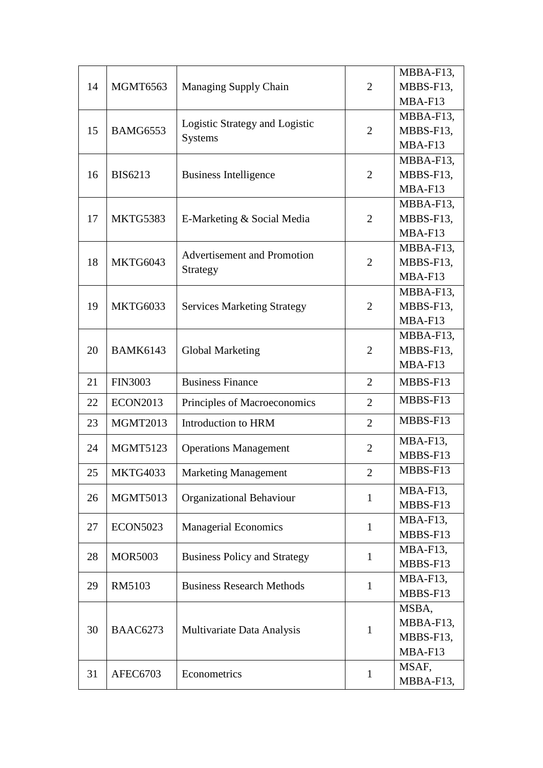| 14 | <b>MGMT6563</b> | Managing Supply Chain                            | $\overline{2}$ | MBBA-F13,   |
|----|-----------------|--------------------------------------------------|----------------|-------------|
|    |                 |                                                  |                | MBBS-F13,   |
|    |                 |                                                  |                | MBA-F13     |
| 15 | <b>BAMG6553</b> | Logistic Strategy and Logistic<br><b>Systems</b> | $\overline{2}$ | MBBA-F13,   |
|    |                 |                                                  |                | MBBS-F13,   |
|    |                 |                                                  |                | MBA-F13     |
|    | <b>BIS6213</b>  | <b>Business Intelligence</b>                     | $\overline{2}$ | MBBA-F13,   |
| 16 |                 |                                                  |                | MBBS-F13,   |
|    |                 |                                                  |                | MBA-F13     |
| 17 | MKTG5383        | E-Marketing & Social Media                       | $\overline{2}$ | MBBA-F13,   |
|    |                 |                                                  |                | MBBS-F13,   |
|    |                 |                                                  |                | MBA-F13     |
|    | <b>MKTG6043</b> | <b>Advertisement and Promotion</b><br>Strategy   | $\overline{2}$ | MBBA-F13,   |
| 18 |                 |                                                  |                | MBBS-F13,   |
|    |                 |                                                  |                | MBA-F13     |
|    |                 | <b>Services Marketing Strategy</b>               | $\overline{2}$ | MBBA-F13,   |
| 19 | MKTG6033        |                                                  |                | MBBS-F13,   |
|    |                 |                                                  |                | MBA-F13     |
|    | <b>BAMK6143</b> |                                                  | $\overline{2}$ | MBBA-F13,   |
| 20 |                 | <b>Global Marketing</b>                          |                | MBBS-F13,   |
|    |                 |                                                  |                | MBA-F13     |
| 21 | <b>FIN3003</b>  | <b>Business Finance</b>                          | $\overline{2}$ | MBBS-F13    |
| 22 | <b>ECON2013</b> | Principles of Macroeconomics                     | $\overline{2}$ | MBBS-F13    |
| 23 | <b>MGMT2013</b> | Introduction to HRM                              | $\overline{2}$ | MBBS-F13    |
| 24 | <b>MGMT5123</b> | <b>Operations Management</b>                     | $\overline{2}$ | MBA-F13,    |
|    |                 |                                                  |                | MBBS-F13    |
| 25 | <b>MKTG4033</b> | <b>Marketing Management</b>                      | $\overline{2}$ | MBBS-F13    |
| 26 | <b>MGMT5013</b> | Organizational Behaviour                         | $\mathbf{1}$   | MBA-F13,    |
|    |                 |                                                  |                | MBBS-F13    |
| 27 | <b>ECON5023</b> | <b>Managerial Economics</b>                      | $\mathbf{1}$   | MBA-F13,    |
|    |                 |                                                  |                | MBBS-F13    |
| 28 | <b>MOR5003</b>  | <b>Business Policy and Strategy</b>              | $\mathbf{1}$   | $MBA-F13$ , |
|    |                 |                                                  |                | MBBS-F13    |
| 29 | RM5103          | <b>Business Research Methods</b>                 | $\mathbf{1}$   | MBA-F13,    |
|    |                 |                                                  |                | MBBS-F13    |
| 30 | <b>BAAC6273</b> | Multivariate Data Analysis                       | $\mathbf{1}$   | MSBA,       |
|    |                 |                                                  |                | MBBA-F13,   |
|    |                 |                                                  |                | MBBS-F13,   |
|    |                 |                                                  |                | MBA-F13     |
| 31 | AFEC6703        | Econometrics                                     | $\mathbf{1}$   | MSAF,       |
|    |                 |                                                  |                | MBBA-F13,   |